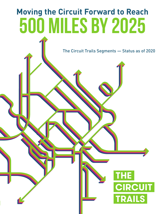## **Moving the Circuit Forward to Reach** 500 miles by 2025

The Circuit Trails Segments — Status as of 2020

**CUIT** 

**RAILS**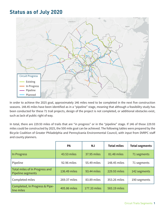## **Status as of July 2020**



In order to achieve the 2025 goal, approximately 146 miles need to be completed in the next five construction seasons. 148.45 miles have been identified as in a "pipeline" stage, meaning that although a feasibility study has been conducted for these 71 trail projects, design of the project is not completed, or additional obstacles exist, such as lack of public right of way.

In total, there are 229.93 miles of trails that are "in progress" or in the "pipeline" stage. If 146 of those 229.93 miles could be constructed by 2025, the 500 mile goal can be achieved. The following tables were prepared by the Bicycle Coalition of Greater Philadelphia and Pennsylvania Environmental Council, with input from DVRPC staff and county planners.

|                                                     | <b>PA</b>    | <b>NJ</b>    | <b>Total miles</b> | <b>Total segments</b> |
|-----------------------------------------------------|--------------|--------------|--------------------|-----------------------|
| In Progress                                         | 43.53 miles  | 37.95 miles  | 81.48 miles        | 71 segments           |
| Pipeline                                            | 92.96 miles  | 55.49 miles  | 148.45 miles       | 71 segments           |
| Total miles of In Progress and<br>Pipeline segments | 136.49 miles | 93.44 miles  | 229.93 miles       | 142 segments          |
| Completed miles                                     | 269.37 miles | 83.89 miles  | 353.26 miles       | 190 segments          |
| Completed, In Progress & Pipe-<br>line miles        | 405.86 miles | 177.33 miles | 583.19 miles       |                       |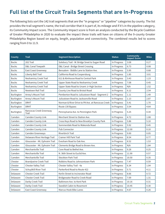## **Full list of the Circuit Trails Segments that are In-Progress**

The following lists sort the 142 trail segments that are the "in progress" or "pipeline" categories by county. The list provides the trail segment's name, the trail corridor that it is part of, its mileage and if it's in the pipeline category, its Community Impact score. The Community Impact score is from an analysis conducted by the Bicycle Coalition of Greater Philadelphia in 2020 to evaluate the impact these trails will have on citizens of the 9-county Greater Philadelphia Region based on equity, length, population and connectivity. The combined results led to scores ranging from 0 to 11.9.

| County            | <b>Trail</b>                     | <b>Segment Description</b>                        | <b>Status</b> | Community<br><b>Impact Score</b> | <b>Miles</b> |
|-------------------|----------------------------------|---------------------------------------------------|---------------|----------------------------------|--------------|
| <b>Bucks</b>      | 202 Trail                        | Solebury Trail - W. Bridge Sreet to Sugan Road    | In Progress   | 3.08                             | 0.27         |
| <b>Bucks</b>      | D&L Canal Towpath                | D&L Canal - Bridge Street Crossing                | In Progress   | 6.73                             | 0.08         |
| <b>Bucks</b>      | East Coast Greenway              | Bensalem - Biddle Lane to Station Ave.            | In Progress   | 5.95                             | 0.68         |
| <b>Bucks</b>      | Liberty Bell Trail               | California Road to Coopersburg                    | In Progress   | 1.85                             | 3.01         |
| <b>Bucks</b>      | Neshaminy Creek Trail            | 611 & Almhouse Road to Central Park               | In Progress   | 3.43                             | 1.23         |
| <b>Bucks</b>      | Neshaminy Creek Trail            | Upper State Road to Neshaminy Creek               | In Progress   | 7.08                             | 0.45         |
| <b>Bucks</b>      | Neshaminy Creek Trail            | Upper State Road to Unami Jr High Section         | In Progress   | N/A                              | 1.52         |
| <b>Bucks</b>      | Newtown Rail Trail               | County Line Road to Bristol Road                  | In Progress   | 6.12                             | 2.54         |
| Burlington        | Arney's Mount Trail              | Pemberton Road to Juliustown Road - Segment 2     | In Progress   | 1.11                             | 1.49         |
| Burlington        | Arney's Mount Trail              | Juliustown Road to Jacksonville Road              | In Progress   | 1.13                             | 2.87         |
| Burlington        | <b>DRHT</b>                      | Norman & River Drive to PA Ave. at Rancocas Creek | In Progress   | 5.41                             | 1.70         |
| <b>Burlington</b> | <b>DRHT</b>                      | Route 130 Bypass                                  | In Progress   | 3.54                             | 4.64         |
| Burlington        | Rancocas Creek Greenway<br>Trail | Pennsylvania Ave. to Pennington Park              | In Progress   | 5.25                             | 0.34         |
| Camden            | Camden County Link               | Merchant Street to Station Ave.                   | In Progress   | 4.72                             | 1.08         |
| Camden            | Camden County Link               | Cross Keys Road to New Brooklyn County Park       | In Progress   | 5.86                             | 5.10         |
| Camden            | Camden County Link               | Sommerdale Road to Wakonda Road                   | In Progress   | 5.92                             | 0.45         |
| Camden            | Camden County Link               | <b>Pub Connector</b>                              | In Progress   | 12.00                            | 0.10         |
| Camden            | Camden Greenways                 | Riverbirch Trail                                  | In Progress   | 9.00                             | 0.05         |
| Camden            | Delaware River Heritage Trail    | Cramer Hill Park Trail                            | In Progress   | 8.54                             | 0.77         |
| Camden            | Gloucester - Mt. Ephraim Trail   | Evesham Road to Oak Ave.                          | In Progress   | 8.52                             | 1.53         |
| Camden            | Gloucester - Mt. Ephraim Trail   | Clements Bridge Road to Brown Ave.                | In Progress   | N/A                              | 1.84         |
| Camden            | Merchantville Trail              | Cove Road to Bethel Ave.                          | In Progress   | 9.28                             | 0.25         |
| Camden            | Merchantville Trail              | N. 36th Street to Euclid Ave.                     | In Progress   | 11.90                            | 0.57         |
| Camden            | Merchantville Trail              | <b>Stockton Park Trail</b>                        | In Progress   | 10.50                            | 0.35         |
| Chester           | Brandywine Creek Trail           | Robbins Road to Johnsontown Park                  | In Progress   | 7.47                             | 0.59         |
| Chester           | <b>Chester Valley Trail</b>      | Chester Valley Trail - 4a                         | In Progress   | 6.34                             | 1.04         |
| Chester           | Schuylkill River Trail           | Parkerford Road to Route 422                      | In Progress   | 5.71                             | 4.11         |
| Delaware          | <b>Chester Creek Trail</b>       | Kerlin Street to Incinerator Road                 | In Progress   | 8.66                             | 0.72         |
| Delaware          | <b>Chester Creek Trail</b>       | Bridgewater Road to Creek Road                    | In Progress   | 7.09                             | 1.31         |
| Delaware          | Darby Creek Trail                | Baltimore Ave. to Kent Park                       | In Progress   | 10.16                            | 0.31         |
| Delaware          | Darby Creek Trail                | Swedish Cabin to Rosemont                         | In Progress   | 10.45                            | 0.30         |
| Delaware          | East Coast Greenway              | Marcus Hook Bike Lanes                            | In Progress   | 4.67                             | 0.26         |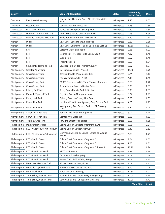| County       | <b>Trail</b>                  | <b>Segment Description</b>                                 | <b>Status</b> | <b>Community</b><br><b>Impact Score</b> | <b>Miles</b> |
|--------------|-------------------------------|------------------------------------------------------------|---------------|-----------------------------------------|--------------|
| Delaware     | East Coast Greenway           | Chester City Highland Ave. - 4th Street to Water-<br>front | In Progress   | 7.43                                    | 0.53         |
| Delaware     | Octoraro Trail                | Concord Road to Route 202                                  | In Progress   | 7.25                                    | 2.58         |
| Gloucester   | Glassboro - Elk Trail         | Sewell St To Elephant Swamp Trail                          | In Progress   | 4.80                                    | 3.50         |
| Gloucester   | Harrison - Mullica Hill Trail | Mullica Hill Trail to Chestnut Branch                      | In Progress   | 2.93                                    | 5.94         |
| Gloucester   | Monroe Township Bike Path     | Bridgeton Secondary to Delsea Drive                        | In Progress   | 7.20                                    | 1.13         |
| Mercer       | <b>DRHT</b>                   | D&R Canal South to Wellness Loop                           | In Progress   | 9.82                                    | 1.38         |
| Mercer       | <b>DRHT</b>                   | D&R Canal Connector - Lalor St. Park to Cass St            | In Progress   | 10.50                                   | 0.37         |
| Mercer       | LHT                           | Carter to Cleveland Road                                   | In Progress   | 2.55                                    | 0.93         |
| Mercer       | <b>LHT</b>                    | Moores Mill - Mt. Rose Rd to Bailey Court                  | In Progress   | 4.27                                    | 0.40         |
| Mercer       | LHT                           | Dyson Tract                                                | In Progress   | 8.57                                    | 0.46         |
| Mercer       | <b>LHT</b>                    | Pretty Brook Rd                                            | In Progress   | 6.60                                    | 0.34         |
| Mercer       | Scudder Falls Bridge Trail    | Scudder Falls Bridge - Mercer County                       | In Progress   | 8.87                                    | 0.37         |
| Montgomery   | Chester Valley Trail          | <b>CVT Extension East - Phase II</b>                       | In Progress   | 11.00                                   | 3.75         |
| Montgomery   | <b>Cross County Trail</b>     | Joshua Road to Wissahickon Trail                           | In Progress   | 2.74                                    | 1.13         |
| Montgomery   | <b>Cross County Trail</b>     | Pennsylvania Ave. to PA 309                                | In Progress   | 4.46                                    | 0.45         |
| Montgomery   | <b>Cross County Trail</b>     | PA 309 Overpass to Life Time/TruMark Entrance              | In Progress   | 6.69                                    | 0.20         |
| Montgomery   | <b>Cross County Trail</b>     | Susquehanna Road to Bantry Drive                           | In Progress   | 6.00                                    | 0.87         |
| Montgomery   | Liberty Bell Trail            | Stony Creek Park to Andale Section                         | In Progress   | 6.98                                    | 0.37         |
| Montgomery   | Parkside/Cynwyd Trail         | City Line Ave. to Montgomery Ave.                          | In Progress   | 8.32                                    | 0.47         |
| Montgomery   | Pennypack Trail               | Byberry Road to County Line Road                           | In Progress   | 8.30                                    | 0.83         |
| Montgomery   | <b>Power Line Trail</b>       | Horsham Road to Montgomery Twp Gazebo Park                 | In Progress   | 4.93                                    | 0.13         |
| Montgomery   | Power Line Trail              | Montgomery Twp Gazebo Park to 202 Parkway<br>Trail         | In Progress   | 6.80                                    | 0.28         |
| Montgomery   | Schuylkill River Trail        | Route 422 to Industrial Highway                            | In Progress   | 8.04                                    | 0.70         |
| Montgomery   | Schuylkill River Trail        | Stenton Ave. Sidepath                                      | In Progress   | 6.53                                    | 0.81         |
| Montgomery   | <b>Tookany Creek Trail</b>    | New 2nd Street to Mill Road                                | In Progress   | 6.08                                    | 0.55         |
| Philadelphia | Delaware River Trail          | Spring Garden Street to Washington Ave.                    | In Progress   | 7.05                                    | 1.9          |
| Philadelphia | ECG - Allegheny to Art Museum | Spring Garden Street Greenway                              | In Progress   | 8.40                                    | 2.12         |
| Philadelphia | ECG - Allegheny to Art Museum | Richmond Street Bike Lanes - Lehigh to Susque-<br>hanna    | In Progress   | 4.80                                    | 0.71         |
| Philadelphia | ECG - Cobbs Creek             | Cobbs Creek Connector - Segment D                          | In Progress   | 9.74                                    | 0.32         |
| Philadelphia | ECG - Cobbs Creek             | Cobbs Creek Connector - Segment C                          | In Progress   | 7.93                                    | 0.81         |
| Philadelphia | ECG - Cobbs Creek             | Cobbs Creek Connector - Segment B, Phase 1                 | In Progress   | 10.10                                   | 0.24         |
| Philadelphia | <b>ECG</b> - Riverfront North | K&T Trail Phase 2                                          | In Progress   | 9.48                                    | 0.74         |
| Philadelphia | <b>ECG</b> - Riverfront North | Tacony - Holmesburg Gap                                    | In Progress   | 9.01                                    | 1.49         |
| Philadelphia | <b>ECG</b> - Riverfront North | Baxter Trail - Police Firing Range                         | In Progress   | 10.32                                   | 0.63         |
| Philadelphia | Fox Chase - Lorimer Trail     | Rhawn Street to Shady Lane                                 | In Progress   | 8.07                                    | 0.62         |
| Philadelphia | Parkside - Cynwyd Trail       | Parkside & 53rd to City Line Ave.                          | In Progress   | 8.10                                    | 1.29         |
| Philadelphia | Pennypack Trail               | State & Rhawn Crossing                                     | In Progress   | 11.33                                   | 0.07         |
| Philadelphia | Tidal Schuylkill River Trail  | Schuylkill Banks - Grays Ferry Swing Bridge                | In Progress   | 12.00                                   | 0.10         |
| Philadelphia | Tidal Schuylkill River Trail  | Schuylkill Banks - Christian to Crescent                   | In Progress   | 12.00                                   | 0.42         |
|              |                               |                                                            |               | <b>Total Miles:</b>                     | 81.48        |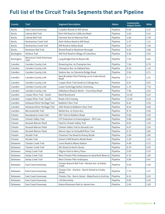## **Full list of the Circuit Trails Segments that are Pipeline**

| <b>County</b> | <b>Trail</b>                     | <b>Segment Description</b>                                        | <b>Status</b> | <b>Community</b><br><b>Impact Score</b> | <b>Miles</b> |
|---------------|----------------------------------|-------------------------------------------------------------------|---------------|-----------------------------------------|--------------|
| <b>Bucks</b>  | East Coast Greenway              | Croydon Woods to Mill Street                                      | Pipeline      | 9.50                                    | 2.37         |
| <b>Bucks</b>  | Liberty Bell Trail               | Rich Hill Road to California Road                                 | Pipeline      | 3.03                                    | 6.23         |
| <b>Bucks</b>  | Liberty Bell Trail               | Fairview Ave to Veternas Park                                     | Pipeline      | 1.85                                    | 2.39         |
| <b>Bucks</b>  | Neshaminy Creek Trail            | Dark Hollow Road to Mill Road                                     | Pipeline      | 2.37                                    | 1.21         |
| <b>Bucks</b>  | Neshaminy Creek Trail            | Mill Road to Valley Road                                          | Pipeline      | 2.67                                    | 1.40         |
| <b>Bucks</b>  | Newtown Rail Trail               | Bristol Road to Newtown Borough                                   | Pipeline      | 6.32                                    | 5.86         |
| Burlington    | Kinkora Trail                    | Old York Road to Village of Columbus                              | Pipeline      | 4.58                                    | 2.63         |
| Burlington    | Rancocas Creek Greenway<br>Trail | Long Bridge Park to Route 206                                     | Pipeline      | 7.52                                    | 4.62         |
| Camden        | Camden County Link               | Browning Ave. to Champion Ave.                                    | Pipeline      | 7.04                                    | 0.79         |
| Camden        | Camden County Link               | Champion Ave. to Oakland Ave.                                     | Pipeline      | 6.53                                    | 1.16         |
| Camden        | Camden County Link               | Station Ave. to Clements Bridge Road                              | Pipeline      | 5.56                                    | 0.71         |
| Camden        | Camden County Link               | New Brooklyn Park Parking Lot to Cedar Brook<br>Road              | Pipeline      | 3.77                                    | 1.51         |
| Camden        | Camden County Link               | Cooper River Trail South to Collings Ave.                         | Pipeline      | 6.67                                    | 0.87         |
| Camden        | Camden County Link               | Lower Great Egg Harbor Greenway                                   | Pipeline      | 1.74                                    | 7.70         |
| Camden        | Camden County Link               | Gibbsboro Road to Berlin - Cross Keys Road                        | Pipeline      | 7.96                                    | 2.02         |
| Camden        | Cooper River Trail - South       | <b>Baird Boulevard</b>                                            | Pipeline      | 12.00                                   | 0.24         |
| Camden        | Cooper River Trail - South       | Route 130 Crossing                                                | Pipeline      | 12.00                                   | 0.18         |
| Camden        | Delaware River Heritage Trail    | Baldwin's Run Trail                                               | Pipeline      | 8.22                                    | 0.53         |
| Camden        | Delaware River Heritage Trail    | 24th Street to Baldwin's Run Trail                                | Pipeline      | 8.24                                    | 0.89         |
| Camden        | Merchantville Trail              | Bethel Ave. to Union Ave.                                         | Pipeline      | 8.74                                    | 0.36         |
| Chester       | <b>Brandywine Creek Trail</b>    | P&T Trail to Robbins Road                                         | Pipeline      | 5.83                                    | 0.30         |
| Chester       | Chester Valley Trail             | CVT Extension to Downingtown - P&T Line                           | Pipeline      | 9.86                                    | 6.68         |
| Chester       | Devault-Warner-Paoli             | Paoli to Chester Valley Trail                                     | Pipeline      | 8.92                                    | 1.35         |
| Chester       | Devault-Warner-Paoli             | Chester Valley Trail to Devault Line                              | Pipeline      | 6.07                                    | 3.24         |
| Chester       | Devault-Warner-Paoli             | Warner Spur to Schuylkill River Trail                             | Pipeline      | 6.72                                    | 5.60         |
| Chester       | <b>Struble Trail</b>             | Chestnut Tree Road to Honey Brook                                 | Pipeline      | 2.88                                    | 3.85         |
| Chester       | <b>Struble Trail</b>             | Dorlan's Mill Road to Reeds Road                                  | Pipeline      | 3.29                                    | 1.23         |
| Delaware      | Chester Creek Trail              | Lenni Road to Wawa Station                                        | Pipeline      | 4.48                                    | 0.72         |
| Delaware      | Chester Creek Trail              | 9th Street to Kerlin Street                                       | Pipeline      | 8.79                                    | 0.55         |
| Delaware      | Darby Creek Trail                | Pilgrim Park to Merry Place                                       | Pipeline      | 5.95                                    | 0.79         |
| Delaware      | Darby Creek Trail                | West Chester Pike Underpass to Haverford Reserve                  | Pipeline      | 4.76                                    | 1.85         |
| Delaware      | Darby Creek Trail                | West Chester Pike Underpass                                       | Pipeline      | 5.96                                    | 0.47         |
| Delaware      | East Coast Greenway              | Chester Branch Rail Trail - Morton Ave. to Darby<br>Creek         | Pipeline      | 9.50                                    | 2.34         |
| Delaware      | East Coast Greenway              | Chester City - 2nd Ave - Norris Street to Crosby<br><b>Street</b> | Pipeline      | 7.75                                    | 1.27         |
| Delaware      | East Coast Greenway              | Chester City - Norris Street - Waterfront to 2nd Ave.             | Pipeline      | 8.31                                    | 0.29         |
| Delaware      | East Coast Greenway              | I-95 Wormhole                                                     | Pipeline      | 9.09                                    | 0.24         |
| Delaware      | East Coast Greenway              | Airport Business Park to Jansen Ave.                              | Pipeline      | 2.65                                    | 1.05         |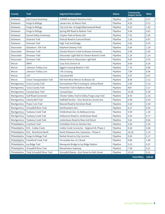| <b>County</b> | <b>Trail</b>                      | <b>Segment Description</b>                      | <b>Status</b> | Community<br>Impact Score | <b>Miles</b> |
|---------------|-----------------------------------|-------------------------------------------------|---------------|---------------------------|--------------|
| Delaware      | East Coast Greenway               | JHNWR to Airport Business Park                  | Pipeline      | 2.89                      | 0.57         |
| Delaware      | Forge to Refuge                   | Jansen Ave. to Manor Park                       | Pipeline      | 4.93                      | 0.72         |
| Delaware      | Forge to Refuge                   | City Line Ave. to Eagle/Wynnewood Road          | Pipeline      | 4.52                      | 1.82         |
| Delaware      | Forge to Refuge                   | Spring Mill Road to Radnor Trail                | Pipeline      | 5.04                      | 0.82         |
| Delaware      | <b>Garnet Valley Greenway</b>     | Clayton Park to Route 202                       | Pipeline      | 7.91                      | 3.20         |
| Delaware      | Octoraro Trail                    | Polecat Road to Concord Road                    | Pipeline      | 1.05                      | 0.97         |
| Delaware      | Octoraro Trail                    | <b>High Trail and Bridge</b>                    | Pipeline      | 3.62                      | 0.24         |
| Gloucester    | Glassboro - Elk Trail             | Elephant Swamp Trail                            | Pipeline      | 0.56                      | 1.18         |
| Gloucester    | Dinosaur Trail                    | Chester Branch Creek to Rowan University        | Pipeline      | 5.96                      | 2.65         |
| Gloucester    | Dinosaur Trail                    | Gloucester Light Rail to Chester Branch Creek   | Pipeline      | 1.16                      | 1.14         |
| Gloucester    | Dinosaur Trail                    | Delsea Drive to Gloucester Light Rail           | Pipeline      | 4.87                      | 3.53         |
| Mercer        | <b>DRHT</b>                       | Cass St to Uninon St                            | Pipeline      | 9.00                      | 0.24         |
| Mercer        | Johnson Trolley Line              | <b>Eggert Crossing Road to I-295</b>            | Pipeline      | 7.74                      | 0.98         |
| Mercer        | Johnson Trolley Line              | I-95 Crossing                                   | Pipeline      | 7.89                      | 0.06         |
| Mercer        | <b>LHT</b>                        | Cleveland Rd                                    | Pipeline      | 4.97                      | 0.47         |
| Mercer        | <b>Union Transportation Trail</b> | Old York Rd to Mercer St (Route 33)             | Pipeline      | 8.00                      | 3.12         |
| Montgomery    | <b>Cross County Trail</b>         | Germantown Pike Crossing to Joshua Road         | Pipeline      | 2.69                      | 2.10         |
| Montgomery    | <b>Cross County Trail</b>         | Powerline Trail to Byberry Road                 | Pipeline      | N/A                       | 3.17         |
| Montgomery    | Cynwyd Spur Trail                 | Cynwyd Spur                                     | Pipeline      | 10.08                     | 0.38         |
| Montgomery    | <b>Gulf Road Connector</b>        | Chester Valley Trail to Valley Forge Loop Trail | Pipeline      | 8.93                      | 2.18         |
| Montgomery    | Liberty Bell Trail                | Hatfield Section - Vine Street to Lincoln Ave.  | Pipeline      | 6.98                      | 0.43         |
| Montgomery    | <b>Power Line Trail</b>           | Biwood Road to Horsham Road                     | Pipeline      | 4.20                      | 2.54         |
| Montgomery    | Schuylkill River Trail            | Northwestern Ave.                               | Pipeline      | 6.27                      | 0.55         |
| Montgomery    | <b>Tookany Creek Trail</b>        | Cheltenham Ave. to Ashbourne Ave.               | Pipeline      | 9.59                      | 1.30         |
| Montgomery    | <b>Tookany Creek Trail</b>        | Ashbourne Road to Jenkintown Road               | Pipeline      | 5.04                      | 0.77         |
| Montgomery    | <b>Tookany Creek Trail</b>        | Jenkintown Road to New 2nd Street               | Pipeline      | 4.61                      | 0.66         |
| Philadelphia  | Cresheim Trail                    | Forbidden Drive to Stenton Ave.                 | Pipeline      | 5.60                      | 2.20         |
| Philadelphia  | ECG - Cobbs Creek                 | Cobbs Creek Connector - Segment B, Phase 2      | Pipeline      | 8.28                      | 0.68         |
| Philadelphia  | <b>ECG</b> - Riverfront North     | North Delaware Ave. Extension - Phase II        | Pipeline      | 10.20                     | 1.14         |
| Philadelphia  | Forge to Refuge Trail             | Market Street to City Line Ave.                 | Pipeline      | 9.50                      | 2.17         |
| Philadelphia  | Frankford Creek Trail             | Torresdale Ave. to I Street                     | Pipeline      | 9.86                      | 1.68         |
| Philadelphia  | Ivy Ridge Trail                   | Manayunk Bridge to Ivy Ridge Station            | Pipeline      | 5.53                      | 0.57         |
| Philadelphia  | Schuylkill River Trail            | Wissahickon Gateway                             | Pipeline      | 7.08                      | 0.31         |
| Philadelphia  | Tidal Schuylkill River Trail      | Schuylkill Banks - 61st Street to 56th Street   | Pipeline      | 10.32                     | 0.51         |
|               |                                   |                                                 |               | <b>Total Miles:</b>       | 148.45       |